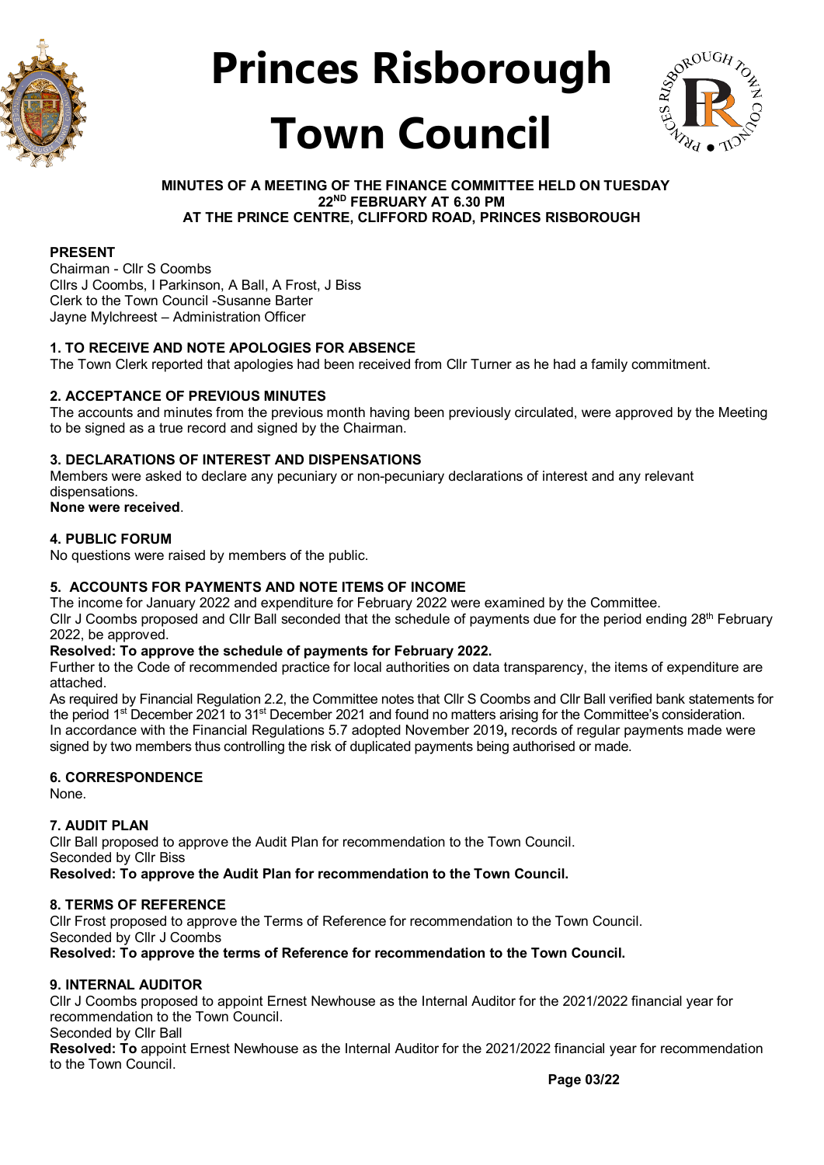



#### **MINUTES OF A MEETING OF THE FINANCE COMMITTEE HELD ON TUESDAY 22ND FEBRUARY AT 6.30 PM AT THE PRINCE CENTRE, CLIFFORD ROAD, PRINCES RISBOROUGH**

#### **PRESENT**

Chairman - Cllr S Coombs Cllrs J Coombs, I Parkinson, A Ball, A Frost, J Biss Clerk to the Town Council -Susanne Barter Jayne Mylchreest – Administration Officer

#### **1. TO RECEIVE AND NOTE APOLOGIES FOR ABSENCE**

The Town Clerk reported that apologies had been received from Cllr Turner as he had a family commitment.

#### **2. ACCEPTANCE OF PREVIOUS MINUTES**

The accounts and minutes from the previous month having been previously circulated, were approved by the Meeting to be signed as a true record and signed by the Chairman.

#### **3. DECLARATIONS OF INTEREST AND DISPENSATIONS**

Members were asked to declare any pecuniary or non-pecuniary declarations of interest and any relevant dispensations.

**None were received**.

#### **4. PUBLIC FORUM**

No questions were raised by members of the public.

#### **5. ACCOUNTS FOR PAYMENTS AND NOTE ITEMS OF INCOME**

The income for January 2022 and expenditure for February 2022 were examined by the Committee. Cllr J Coombs proposed and Cllr Ball seconded that the schedule of payments due for the period ending 28<sup>th</sup> February 2022, be approved.

#### **Resolved: To approve the schedule of payments for February 2022.**

Further to the Code of recommended practice for local authorities on data transparency, the items of expenditure are attached.

As required by Financial Regulation 2.2, the Committee notes that Cllr S Coombs and Cllr Ball verified bank statements for the period 1<sup>st</sup> December 2021 to 31<sup>st</sup> December 2021 and found no matters arising for the Committee's consideration. In accordance with the Financial Regulations 5.7 adopted November 2019**,** records of regular payments made were signed by two members thus controlling the risk of duplicated payments being authorised or made.

#### **6. CORRESPONDENCE**

None.

#### **7. AUDIT PLAN**

Cllr Ball proposed to approve the Audit Plan for recommendation to the Town Council. Seconded by Cllr Biss **Resolved: To approve the Audit Plan for recommendation to the Town Council.**

#### **8. TERMS OF REFERENCE**

Cllr Frost proposed to approve the Terms of Reference for recommendation to the Town Council. Seconded by Cllr J Coombs **Resolved: To approve the terms of Reference for recommendation to the Town Council.**

#### **9. INTERNAL AUDITOR**

Cllr J Coombs proposed to appoint Ernest Newhouse as the Internal Auditor for the 2021/2022 financial year for recommendation to the Town Council.

Seconded by Cllr Ball

**Resolved: To** appoint Ernest Newhouse as the Internal Auditor for the 2021/2022 financial year for recommendation to the Town Council.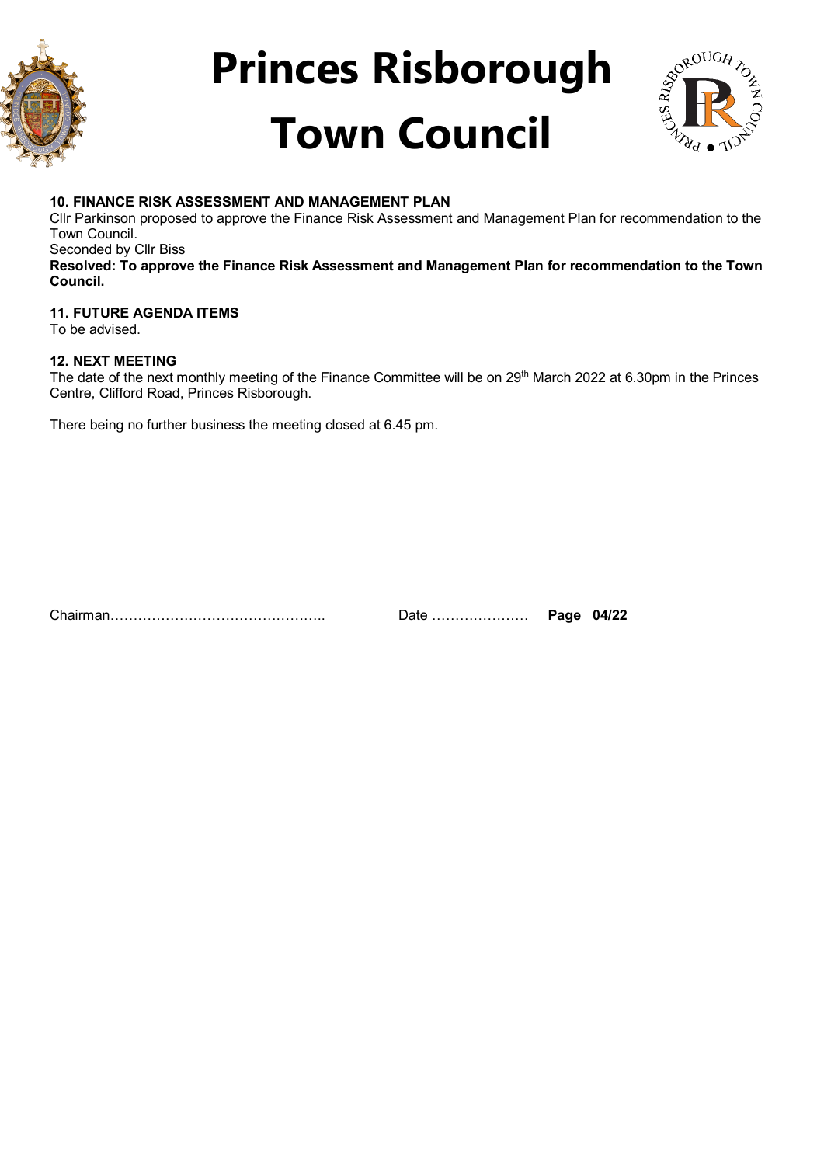



### **10. FINANCE RISK ASSESSMENT AND MANAGEMENT PLAN**

Cllr Parkinson proposed to approve the Finance Risk Assessment and Management Plan for recommendation to the Town Council.

Seconded by Cllr Biss

**Resolved: To approve the Finance Risk Assessment and Management Plan for recommendation to the Town Council.**

### **11. FUTURE AGENDA ITEMS**

To be advised.

#### **12. NEXT MEETING**

The date of the next monthly meeting of the Finance Committee will be on 29<sup>th</sup> March 2022 at 6.30pm in the Princes Centre, Clifford Road, Princes Risborough.

There being no further business the meeting closed at 6.45 pm.

Chairman……………………………………….. Date ………………… **Page 04/22**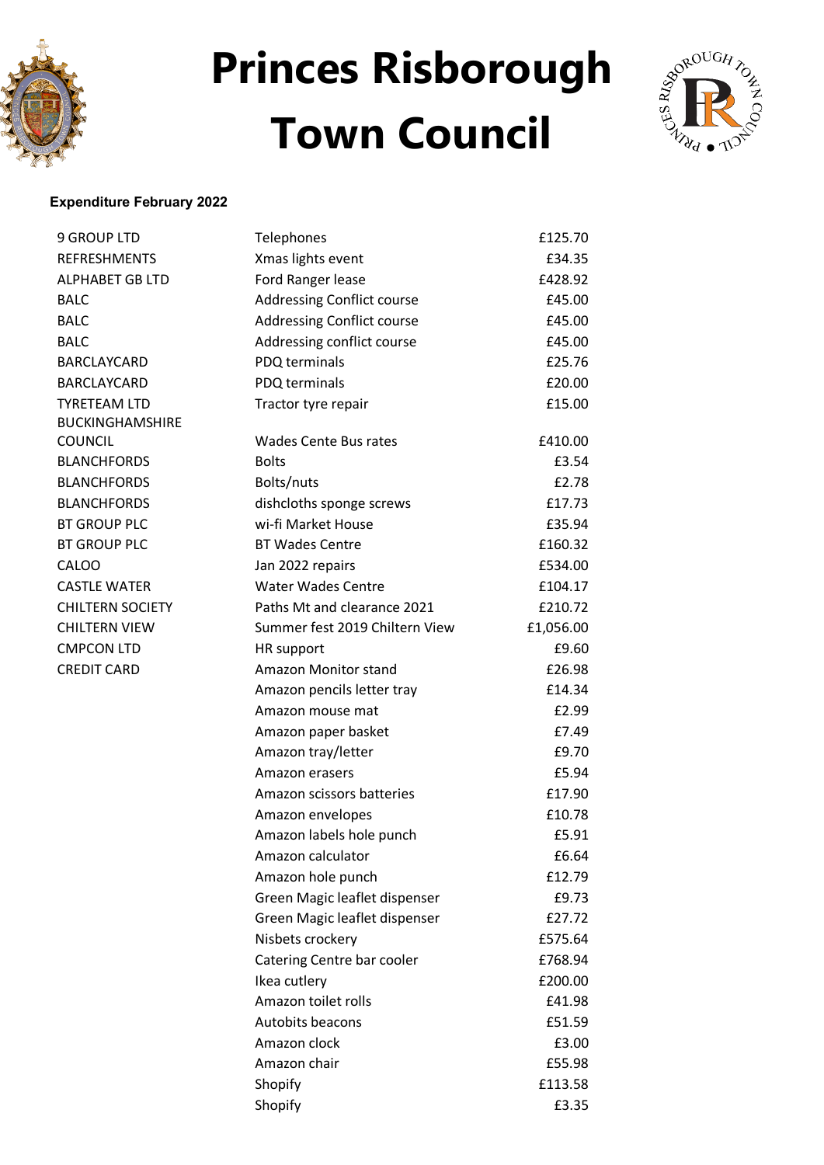



### **Expenditure February 2022**

| <b>9 GROUP LTD</b>      | <b>Telephones</b>                 | £125.70   |
|-------------------------|-----------------------------------|-----------|
| <b>REFRESHMENTS</b>     | Xmas lights event                 | £34.35    |
| <b>ALPHABET GB LTD</b>  | Ford Ranger lease                 | £428.92   |
| <b>BALC</b>             | <b>Addressing Conflict course</b> | £45.00    |
| <b>BALC</b>             | <b>Addressing Conflict course</b> | £45.00    |
| <b>BALC</b>             | Addressing conflict course        | £45.00    |
| BARCLAYCARD             | PDQ terminals                     | £25.76    |
| <b>BARCLAYCARD</b>      | PDQ terminals                     | £20.00    |
| <b>TYRETEAM LTD</b>     | Tractor tyre repair               | £15.00    |
| <b>BUCKINGHAMSHIRE</b>  |                                   |           |
| COUNCIL                 | <b>Wades Cente Bus rates</b>      | £410.00   |
| <b>BLANCHFORDS</b>      | <b>Bolts</b>                      | £3.54     |
| <b>BLANCHFORDS</b>      | Bolts/nuts                        | £2.78     |
| <b>BLANCHFORDS</b>      | dishcloths sponge screws          | £17.73    |
| <b>BT GROUP PLC</b>     | wi-fi Market House                | £35.94    |
| <b>BT GROUP PLC</b>     | <b>BT Wades Centre</b>            | £160.32   |
| CALOO                   | Jan 2022 repairs                  | £534.00   |
| <b>CASTLE WATER</b>     | <b>Water Wades Centre</b>         | £104.17   |
| <b>CHILTERN SOCIETY</b> | Paths Mt and clearance 2021       | £210.72   |
| <b>CHILTERN VIEW</b>    | Summer fest 2019 Chiltern View    | £1,056.00 |
| <b>CMPCON LTD</b>       | <b>HR</b> support                 | £9.60     |
| <b>CREDIT CARD</b>      | Amazon Monitor stand              | £26.98    |
|                         | Amazon pencils letter tray        | £14.34    |
|                         | Amazon mouse mat                  | £2.99     |
|                         | Amazon paper basket               | £7.49     |
|                         | Amazon tray/letter                | £9.70     |
|                         | Amazon erasers                    | £5.94     |
|                         | Amazon scissors batteries         | £17.90    |
|                         | Amazon envelopes                  | £10.78    |
|                         | Amazon labels hole punch          | £5.91     |
|                         | Amazon calculator                 | £6.64     |
|                         | Amazon hole punch                 | £12.79    |
|                         | Green Magic leaflet dispenser     | £9.73     |
|                         | Green Magic leaflet dispenser     | £27.72    |
|                         | Nisbets crockery                  | £575.64   |
|                         | Catering Centre bar cooler        | £768.94   |
|                         | Ikea cutlery                      | £200.00   |
|                         | Amazon toilet rolls               | £41.98    |
|                         | Autobits beacons                  | £51.59    |
|                         | Amazon clock                      | £3.00     |
|                         | Amazon chair                      | £55.98    |
|                         | Shopify                           | £113.58   |
|                         | Shopify                           | £3.35     |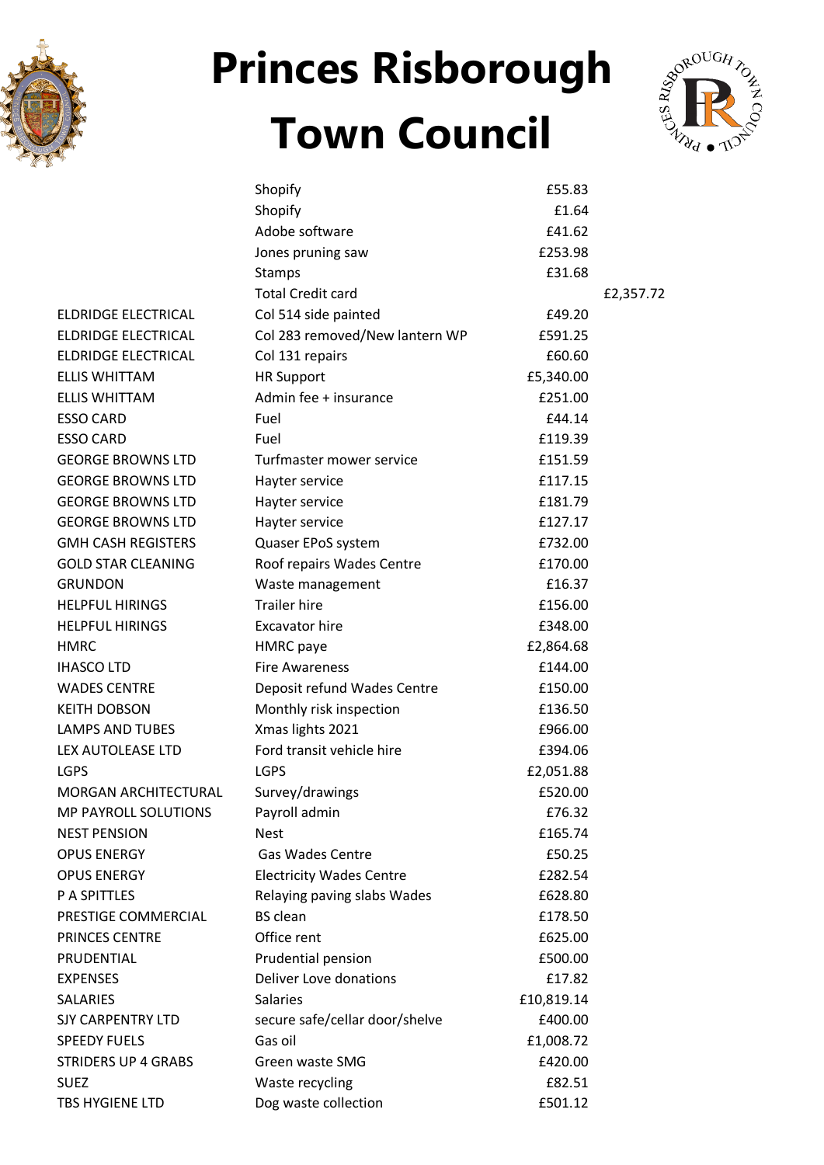



|                            | Shopify                         | £55.83     |           |
|----------------------------|---------------------------------|------------|-----------|
|                            | Shopify                         | £1.64      |           |
|                            | Adobe software                  | £41.62     |           |
|                            | Jones pruning saw               | £253.98    |           |
|                            | Stamps                          | £31.68     |           |
|                            | <b>Total Credit card</b>        |            | £2,357.72 |
| ELDRIDGE ELECTRICAL        | Col 514 side painted            | £49.20     |           |
| ELDRIDGE ELECTRICAL        | Col 283 removed/New lantern WP  | £591.25    |           |
| ELDRIDGE ELECTRICAL        | Col 131 repairs                 | £60.60     |           |
| <b>ELLIS WHITTAM</b>       | <b>HR Support</b>               | £5,340.00  |           |
| <b>ELLIS WHITTAM</b>       | Admin fee + insurance           | £251.00    |           |
| <b>ESSO CARD</b>           | Fuel                            | £44.14     |           |
| <b>ESSO CARD</b>           | Fuel                            | £119.39    |           |
| <b>GEORGE BROWNS LTD</b>   | Turfmaster mower service        | £151.59    |           |
| <b>GEORGE BROWNS LTD</b>   | Hayter service                  | £117.15    |           |
| <b>GEORGE BROWNS LTD</b>   | Hayter service                  | £181.79    |           |
| <b>GEORGE BROWNS LTD</b>   | Hayter service                  | £127.17    |           |
| <b>GMH CASH REGISTERS</b>  | Quaser EPoS system              | £732.00    |           |
| <b>GOLD STAR CLEANING</b>  | Roof repairs Wades Centre       | £170.00    |           |
| GRUNDON                    | Waste management                | £16.37     |           |
| <b>HELPFUL HIRINGS</b>     | <b>Trailer hire</b>             | £156.00    |           |
| <b>HELPFUL HIRINGS</b>     | <b>Excavator hire</b>           | £348.00    |           |
| HMRC                       | <b>HMRC</b> paye                | £2,864.68  |           |
| <b>IHASCO LTD</b>          | <b>Fire Awareness</b>           | £144.00    |           |
| <b>WADES CENTRE</b>        | Deposit refund Wades Centre     | £150.00    |           |
| <b>KEITH DOBSON</b>        | Monthly risk inspection         | £136.50    |           |
| <b>LAMPS AND TUBES</b>     | Xmas lights 2021                | £966.00    |           |
| LEX AUTOLEASE LTD          | Ford transit vehicle hire       | £394.06    |           |
| LGPS                       | <b>LGPS</b>                     | £2,051.88  |           |
| MORGAN ARCHITECTURAL       | Survey/drawings                 | £520.00    |           |
| MP PAYROLL SOLUTIONS       | Payroll admin                   | £76.32     |           |
| <b>NEST PENSION</b>        | <b>Nest</b>                     | £165.74    |           |
| <b>OPUS ENERGY</b>         | <b>Gas Wades Centre</b>         | £50.25     |           |
| <b>OPUS ENERGY</b>         | <b>Electricity Wades Centre</b> | £282.54    |           |
| P A SPITTLES               | Relaying paving slabs Wades     | £628.80    |           |
| PRESTIGE COMMERCIAL        | <b>BS</b> clean                 | £178.50    |           |
| PRINCES CENTRE             | Office rent                     | £625.00    |           |
| PRUDENTIAL                 | Prudential pension              | £500.00    |           |
| <b>EXPENSES</b>            | <b>Deliver Love donations</b>   | £17.82     |           |
| SALARIES                   | <b>Salaries</b>                 | £10,819.14 |           |
| SJY CARPENTRY LTD          | secure safe/cellar door/shelve  | £400.00    |           |
| <b>SPEEDY FUELS</b>        | Gas oil                         | £1,008.72  |           |
| <b>STRIDERS UP 4 GRABS</b> | Green waste SMG                 | £420.00    |           |
| SUEZ                       | Waste recycling                 | £82.51     |           |
| TBS HYGIENE LTD            | Dog waste collection            | £501.12    |           |